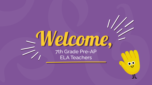## 7th Grade Pre-AP ELA Teachers Welcome,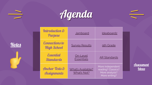

| Agenda                                      |                                         |                                                          |
|---------------------------------------------|-----------------------------------------|----------------------------------------------------------|
| Introduction &<br>Purpose                   | <b>Jamboard</b>                         | <b>Ideaboardz</b>                                        |
| <b>Connections to</b><br><b>High School</b> | <b>Survey Results</b>                   | 9th Grade                                                |
| <i><b>Essential</b></i><br><b>Standards</b> | <u>On-Level</u><br><b>Essentials</b>    | <b>AR Standards</b>                                      |
| Anchor Texts &<br>Awianments                | <b>What's Available?</b><br>What's Not? | More independent<br>reading? Classics?<br>More analysis? |

More writing?

**Assignments** 

**[Assessment](https://docs.google.com/presentation/d/1BqP9DfxdMq_I9izME_OFLGOgcjq9_azULNwCd5X94Mc/edit?usp=sharing) [Ideas](https://docs.google.com/presentation/d/1BqP9DfxdMq_I9izME_OFLGOgcjq9_azULNwCd5X94Mc/edit?usp=sharing)**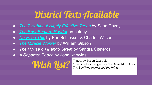## District Texts Available

- <span id="page-2-0"></span>● *[The 7 Habits of Highly Effective Teens](https://www.amazon.com/Habits-Highly-Effective-Teens-ebook/dp/B004IK92RA)* by Sean Covey
- *● [The Brief Bedford Reader](https://www.amazon.com/Brief-Bedford-Reader-X-Kennedy/dp/0312472072/ref=sr_1_15?crid=W3F5G3IITW8K&dchild=1&keywords=the+brief+bedford+reader&qid=1606928707&s=digital-text&sprefix=the+brief+bed%2Cdigital-text%2C203&sr=1-15-catcorr)* anthology
- *[Chew on This](https://www.amazon.com/Chew-This-Everything-Dont-About-ebook/dp/B00BE64WTE/ref=sr_1_1?dchild=1&keywords=chew+on+this&qid=1606928358&s=digital-text&sr=1-1)* by Eric Schlosser & Charles Wilson
- *[The Miracle Worker](https://www.amazon.com/Miracle-Worker-Play-William-Gibson/dp/1416590846/ref=sr_1_6?dchild=1&keywords=the+miracle+worker&qid=1607016938&sr=8-6)* by William Gibson
- *● The House on Mango Street* by Sandra Cisneros
- *● A Separate Peace* by John Knowles

**Wish Jist?** Trifles, by Susan Glaspell<br>The Smallest Dragonboy<br>The Bov Who Harnessed f

"The Smallest Dragonboy" by Anne McCaffrey *The Boy Who Harnessed the Wind*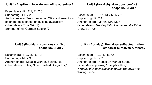| Unit 1 (Aug-Nov) : How do we define ourselves?                                                                                                           | Unit 2 (Nov-Feb): How does conflict                                                                                                                                                                               |
|----------------------------------------------------------------------------------------------------------------------------------------------------------|-------------------------------------------------------------------------------------------------------------------------------------------------------------------------------------------------------------------|
| Essential(s) - $RL.7.1$ , $RL.7.3$                                                                                                                       | shape us? (Part 1)                                                                                                                                                                                                |
| Supporting - RL.7.2                                                                                                                                      | Essential(s) - RI.7.5, RI.7.6, W.7.2                                                                                                                                                                              |
| Anchor text(s) - Seek new novel OR short selections,                                                                                                     | Supporting - RI.7.4                                                                                                                                                                                               |
| extended texts based on building availability                                                                                                            | Anchor text(s) - March, MX, MLK                                                                                                                                                                                   |
| Other ideas - True Grit (?)                                                                                                                              | Other ideas - The Boy Who Harnessed the Wind;                                                                                                                                                                     |
| Summer of My German Soldier (?)                                                                                                                          | Chew on This                                                                                                                                                                                                      |
| Unit 3 (Feb-Mar): How does conflict                                                                                                                      | Unit 4 (Apr-May): How does self-actualization                                                                                                                                                                     |
| shape us? (Part 2)                                                                                                                                       | empower ourselves & others?                                                                                                                                                                                       |
| Essential(s) - RL.7.5, RL.7.1<br>Supporting - RL.7.9<br>Anchor text(s) - Miracle Worker, Scarlet Ibis<br>Other ideas - Trifles, "The Smallest Dragonboy" | Essential(s) - RL.7.4, RL.7.5<br>Supporting - RL.7.3<br>Anchor text(s) - House on Mango Street<br>Other ideas - poems, "Everyday Use,"<br>7 Habits of Highly Effective Teens, Empowerment<br><b>Writing Piece</b> |